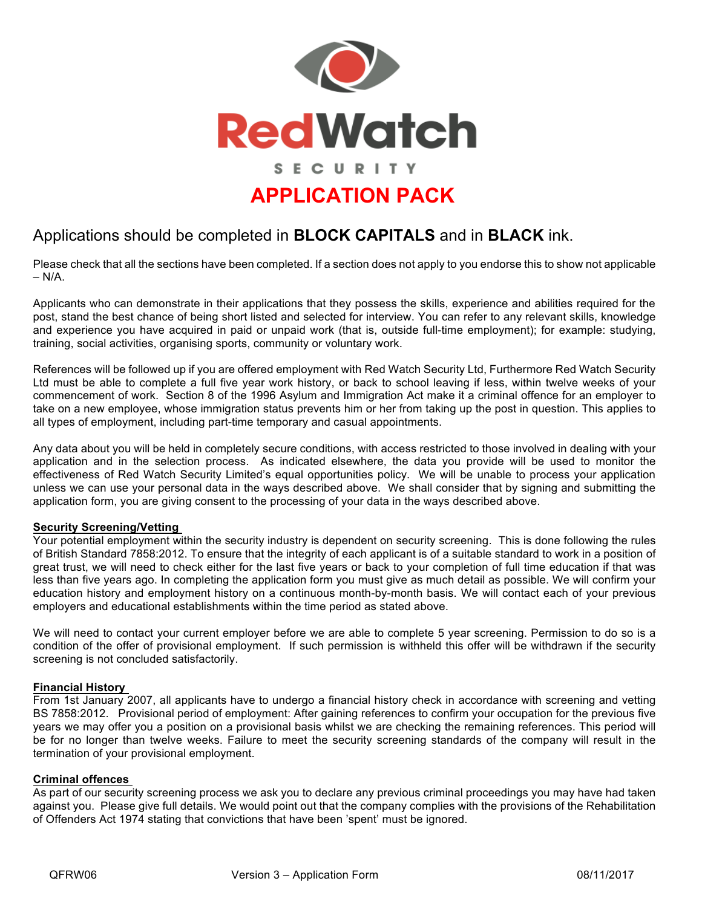

### Applications should be completed in **BLOCK CAPITALS** and in **BLACK** ink.

Please check that all the sections have been completed. If a section does not apply to you endorse this to show not applicable  $- N/A$ .

Applicants who can demonstrate in their applications that they possess the skills, experience and abilities required for the post, stand the best chance of being short listed and selected for interview. You can refer to any relevant skills, knowledge and experience you have acquired in paid or unpaid work (that is, outside full-time employment); for example: studying, training, social activities, organising sports, community or voluntary work.

References will be followed up if you are offered employment with Red Watch Security Ltd, Furthermore Red Watch Security Ltd must be able to complete a full five year work history, or back to school leaving if less, within twelve weeks of your commencement of work. Section 8 of the 1996 Asylum and Immigration Act make it a criminal offence for an employer to take on a new employee, whose immigration status prevents him or her from taking up the post in question. This applies to all types of employment, including part-time temporary and casual appointments.

Any data about you will be held in completely secure conditions, with access restricted to those involved in dealing with your application and in the selection process. As indicated elsewhere, the data you provide will be used to monitor the effectiveness of Red Watch Security Limited's equal opportunities policy. We will be unable to process your application unless we can use your personal data in the ways described above. We shall consider that by signing and submitting the application form, you are giving consent to the processing of your data in the ways described above.

### **Security Screening/Vetting**

Your potential employment within the security industry is dependent on security screening. This is done following the rules of British Standard 7858:2012. To ensure that the integrity of each applicant is of a suitable standard to work in a position of great trust, we will need to check either for the last five years or back to your completion of full time education if that was less than five years ago. In completing the application form you must give as much detail as possible. We will confirm your education history and employment history on a continuous month-by-month basis. We will contact each of your previous employers and educational establishments within the time period as stated above.

We will need to contact your current employer before we are able to complete 5 year screening. Permission to do so is a condition of the offer of provisional employment. If such permission is withheld this offer will be withdrawn if the security screening is not concluded satisfactorily.

#### **Financial History**

From 1st January 2007, all applicants have to undergo a financial history check in accordance with screening and vetting BS 7858:2012. Provisional period of employment: After gaining references to confirm your occupation for the previous five years we may offer you a position on a provisional basis whilst we are checking the remaining references. This period will be for no longer than twelve weeks. Failure to meet the security screening standards of the company will result in the termination of your provisional employment.

#### **Criminal offences**

As part of our security screening process we ask you to declare any previous criminal proceedings you may have had taken against you. Please give full details. We would point out that the company complies with the provisions of the Rehabilitation of Offenders Act 1974 stating that convictions that have been 'spent' must be ignored.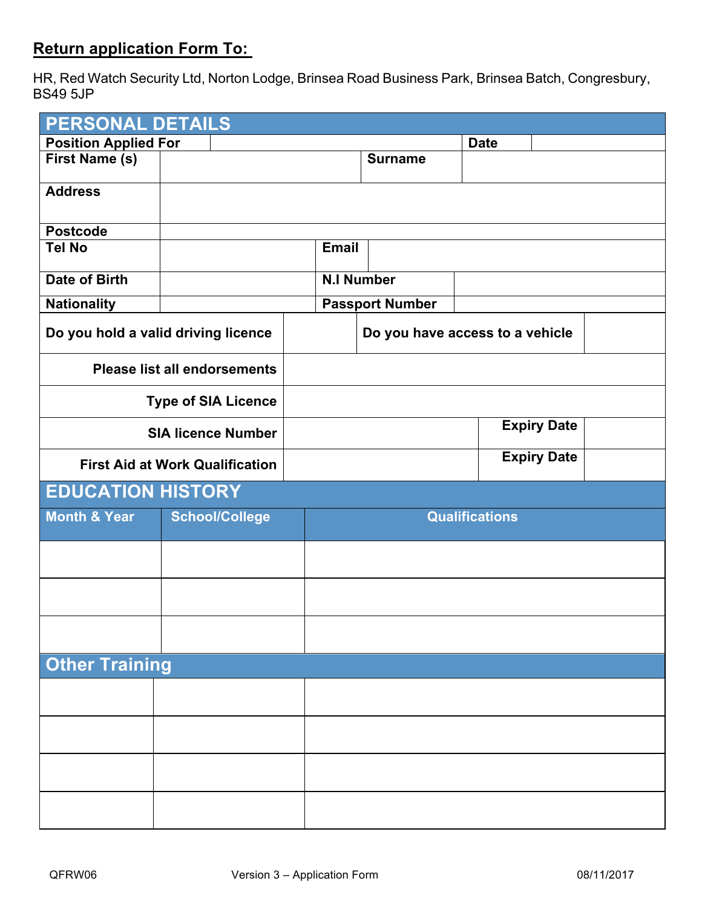## **Return application Form To:**

HR, Red Watch Security Ltd, Norton Lodge, Brinsea Road Business Park, Brinsea Batch, Congresbury, BS49 5JP

| <b>PERSONAL DETAILS</b>     |                                        |                                 |                        |                       |  |  |
|-----------------------------|----------------------------------------|---------------------------------|------------------------|-----------------------|--|--|
| <b>Position Applied For</b> |                                        |                                 |                        | <b>Date</b>           |  |  |
| First Name (s)              |                                        |                                 | <b>Surname</b>         |                       |  |  |
| <b>Address</b>              |                                        |                                 |                        |                       |  |  |
| <b>Postcode</b>             |                                        |                                 |                        |                       |  |  |
| <b>Tel No</b>               |                                        | <b>Email</b>                    |                        |                       |  |  |
| <b>Date of Birth</b>        |                                        | <b>N.I Number</b>               |                        |                       |  |  |
| <b>Nationality</b>          |                                        |                                 | <b>Passport Number</b> |                       |  |  |
|                             | Do you hold a valid driving licence    | Do you have access to a vehicle |                        |                       |  |  |
|                             | <b>Please list all endorsements</b>    |                                 |                        |                       |  |  |
|                             | <b>Type of SIA Licence</b>             |                                 |                        |                       |  |  |
|                             | <b>SIA licence Number</b>              | <b>Expiry Date</b>              |                        |                       |  |  |
|                             | <b>First Aid at Work Qualification</b> | <b>Expiry Date</b>              |                        |                       |  |  |
| <b>EDUCATION HISTORY</b>    |                                        |                                 |                        |                       |  |  |
| <b>Month &amp; Year</b>     | <b>School/College</b>                  |                                 |                        | <b>Qualifications</b> |  |  |
|                             |                                        |                                 |                        |                       |  |  |
|                             |                                        |                                 |                        |                       |  |  |
|                             |                                        |                                 |                        |                       |  |  |
|                             |                                        |                                 |                        |                       |  |  |
| <b>Other Training</b>       |                                        |                                 |                        |                       |  |  |
|                             |                                        |                                 |                        |                       |  |  |
|                             |                                        |                                 |                        |                       |  |  |
|                             |                                        |                                 |                        |                       |  |  |
|                             |                                        |                                 |                        |                       |  |  |
|                             |                                        |                                 |                        |                       |  |  |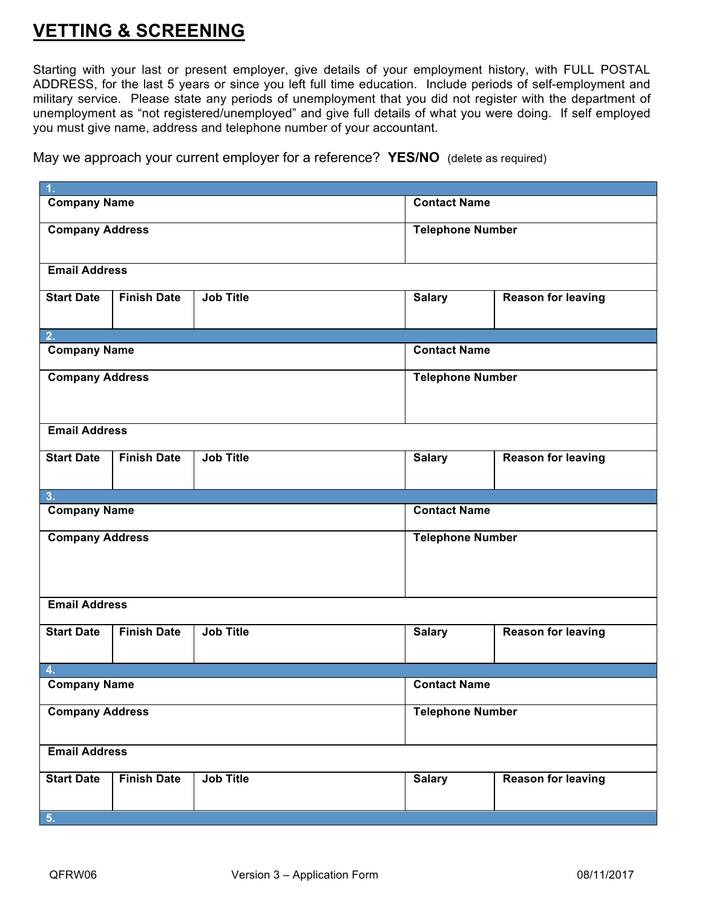## **VETTING & SCREENING**

Starting with your last or present employer, give details of your employment history, with FULL POSTAL ADDRESS, for the last 5 years or since you left full time education. Include periods of self-employment and military service. Please state any periods of unemployment that you did not register with the department of unemployment as "not registered/unemployed" and give full details of what you were doing. If self employed you must give name, address and telephone number of your accountant.

May we approach your current employer for a reference? **YES/NO** (delete as required)

| 1.                                                          |                         |                         |                           |  |
|-------------------------------------------------------------|-------------------------|-------------------------|---------------------------|--|
| <b>Company Name</b>                                         | <b>Contact Name</b>     |                         |                           |  |
| <b>Company Address</b>                                      | <b>Telephone Number</b> |                         |                           |  |
| <b>Email Address</b>                                        |                         |                         |                           |  |
| <b>Job Title</b><br><b>Start Date</b><br><b>Finish Date</b> |                         | <b>Salary</b>           | <b>Reason for leaving</b> |  |
| 2.                                                          |                         |                         |                           |  |
| <b>Company Name</b>                                         |                         | <b>Contact Name</b>     |                           |  |
| <b>Company Address</b>                                      | <b>Telephone Number</b> |                         |                           |  |
| <b>Email Address</b>                                        |                         |                         |                           |  |
| <b>Job Title</b><br><b>Finish Date</b><br><b>Start Date</b> |                         | <b>Salary</b>           | <b>Reason for leaving</b> |  |
| 3.                                                          |                         |                         |                           |  |
| <b>Company Name</b>                                         |                         | <b>Contact Name</b>     |                           |  |
| <b>Company Address</b>                                      |                         | <b>Telephone Number</b> |                           |  |
| <b>Email Address</b>                                        |                         |                         |                           |  |
| <b>Job Title</b><br><b>Start Date</b><br><b>Finish Date</b> |                         | <b>Salary</b>           | <b>Reason for leaving</b> |  |
| 4.                                                          |                         |                         |                           |  |
| <b>Company Name</b>                                         | <b>Contact Name</b>     |                         |                           |  |
| <b>Company Address</b>                                      | <b>Telephone Number</b> |                         |                           |  |
| <b>Email Address</b>                                        |                         |                         |                           |  |
| <b>Start Date</b><br><b>Job Title</b><br><b>Finish Date</b> |                         | <b>Salary</b>           | <b>Reason for leaving</b> |  |
| 5.                                                          |                         |                         |                           |  |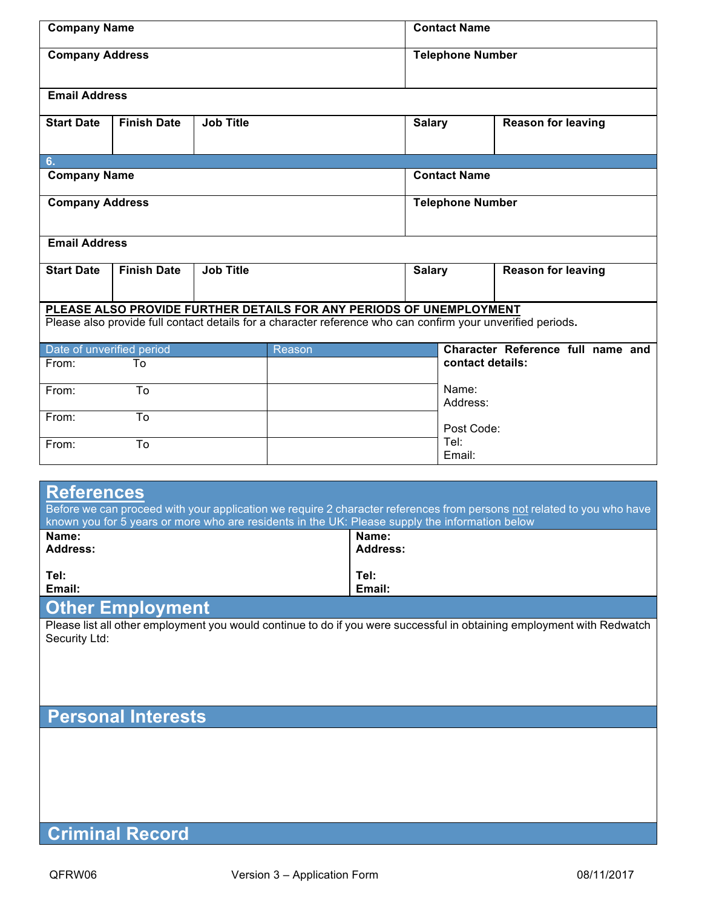| <b>Company Name</b>       |                    |                  | <b>Contact Name</b>                                                                                         |               |               |                           |                                   |
|---------------------------|--------------------|------------------|-------------------------------------------------------------------------------------------------------------|---------------|---------------|---------------------------|-----------------------------------|
| <b>Company Address</b>    |                    |                  |                                                                                                             |               |               | <b>Telephone Number</b>   |                                   |
| <b>Email Address</b>      |                    |                  |                                                                                                             |               |               |                           |                                   |
| <b>Start Date</b>         | <b>Finish Date</b> | <b>Job Title</b> |                                                                                                             |               | <b>Salary</b> |                           | <b>Reason for leaving</b>         |
| 6.                        |                    |                  |                                                                                                             |               |               |                           |                                   |
| <b>Company Name</b>       |                    |                  |                                                                                                             |               |               | <b>Contact Name</b>       |                                   |
| <b>Company Address</b>    |                    |                  | <b>Telephone Number</b>                                                                                     |               |               |                           |                                   |
| <b>Email Address</b>      |                    |                  |                                                                                                             |               |               |                           |                                   |
| <b>Start Date</b>         | <b>Finish Date</b> | <b>Job Title</b> |                                                                                                             | <b>Salary</b> |               | <b>Reason for leaving</b> |                                   |
|                           |                    |                  | PLEASE ALSO PROVIDE FURTHER DETAILS FOR ANY PERIODS OF UNEMPLOYMENT                                         |               |               |                           |                                   |
|                           |                    |                  | Please also provide full contact details for a character reference who can confirm your unverified periods. |               |               |                           |                                   |
| Date of unverified period |                    |                  | Reason                                                                                                      |               |               |                           | Character Reference full name and |
| From:                     | To                 |                  |                                                                                                             |               |               | contact details:          |                                   |
| From:                     | To                 |                  |                                                                                                             |               |               | Name:<br>Address:         |                                   |
| From:                     | To                 |                  |                                                                                                             |               |               | Post Code:                |                                   |
| From:                     | To                 |                  |                                                                                                             |               |               | Tel:<br>Email:            |                                   |

| <b>References</b><br>Before we can proceed with your application we require 2 character references from persons not related to you who have<br>known you for 5 years or more who are residents in the UK: Please supply the information below |          |  |  |  |  |
|-----------------------------------------------------------------------------------------------------------------------------------------------------------------------------------------------------------------------------------------------|----------|--|--|--|--|
| Name:                                                                                                                                                                                                                                         | Name:    |  |  |  |  |
| Address:                                                                                                                                                                                                                                      | Address: |  |  |  |  |
| Tel:                                                                                                                                                                                                                                          | Tel:     |  |  |  |  |
| Email:                                                                                                                                                                                                                                        | Email:   |  |  |  |  |
| <b>Other Employment</b>                                                                                                                                                                                                                       |          |  |  |  |  |

### **Other Employment**

Please list all other employment you would continue to do if you were successful in obtaining employment with Redwatch Security Ltd:

# **Personal Interests**

# **Criminal Record**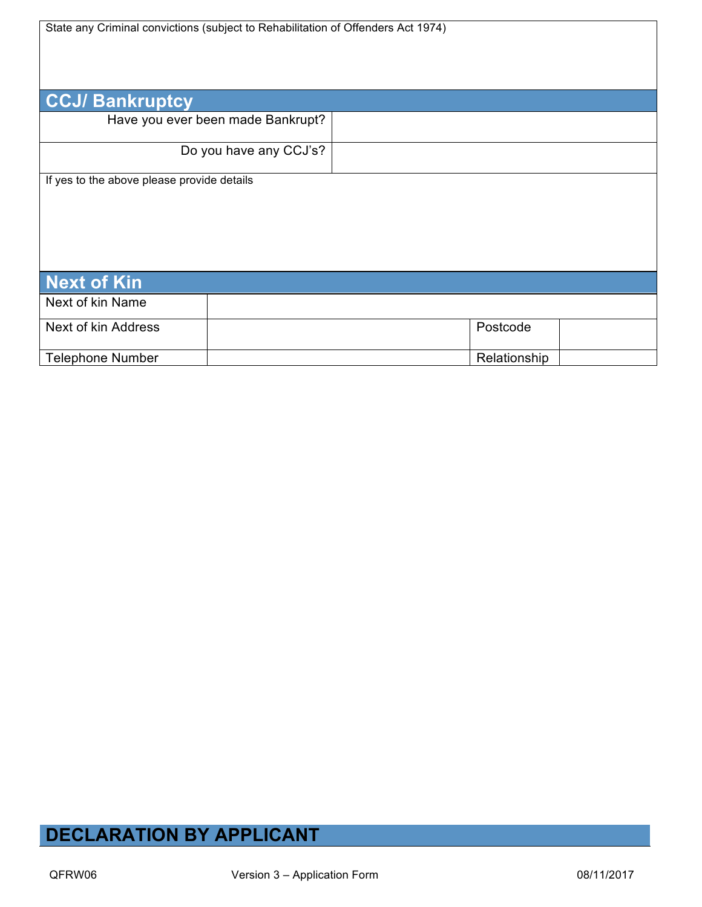State any Criminal convictions (subject to Rehabilitation of Offenders Act 1974)

| <b>CCJ/Bankruptcy</b>                      |                                   |              |  |
|--------------------------------------------|-----------------------------------|--------------|--|
|                                            | Have you ever been made Bankrupt? |              |  |
|                                            | Do you have any CCJ's?            |              |  |
| If yes to the above please provide details |                                   |              |  |
| <b>Next of Kin</b>                         |                                   |              |  |
| Next of kin Name                           |                                   |              |  |
| Next of kin Address                        |                                   | Postcode     |  |
| <b>Telephone Number</b>                    |                                   | Relationship |  |

# **DECLARATION BY APPLICANT**